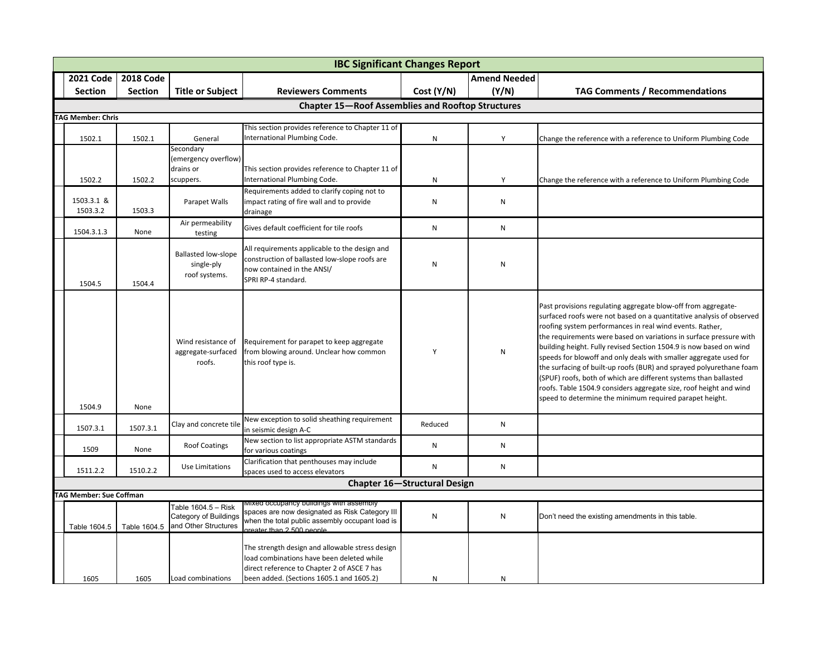| <b>IBC Significant Changes Report</b>                    |                  |                                                                      |                                                                                                                                                                                         |                |                     |                                                                                                                                                                                                                                                                                                                                                                                                                                                                                                                                                                                                                                                                                                |  |  |  |
|----------------------------------------------------------|------------------|----------------------------------------------------------------------|-----------------------------------------------------------------------------------------------------------------------------------------------------------------------------------------|----------------|---------------------|------------------------------------------------------------------------------------------------------------------------------------------------------------------------------------------------------------------------------------------------------------------------------------------------------------------------------------------------------------------------------------------------------------------------------------------------------------------------------------------------------------------------------------------------------------------------------------------------------------------------------------------------------------------------------------------------|--|--|--|
| <b>2021 Code</b>                                         | <b>2018 Code</b> |                                                                      |                                                                                                                                                                                         |                | <b>Amend Needed</b> |                                                                                                                                                                                                                                                                                                                                                                                                                                                                                                                                                                                                                                                                                                |  |  |  |
| <b>Section</b>                                           | <b>Section</b>   | <b>Title or Subject</b>                                              | <b>Reviewers Comments</b>                                                                                                                                                               | Cost (Y/N)     | (Y/N)               | <b>TAG Comments / Recommendations</b>                                                                                                                                                                                                                                                                                                                                                                                                                                                                                                                                                                                                                                                          |  |  |  |
| <b>Chapter 15-Roof Assemblies and Rooftop Structures</b> |                  |                                                                      |                                                                                                                                                                                         |                |                     |                                                                                                                                                                                                                                                                                                                                                                                                                                                                                                                                                                                                                                                                                                |  |  |  |
| <b>TAG Member: Chris</b>                                 |                  |                                                                      |                                                                                                                                                                                         |                |                     |                                                                                                                                                                                                                                                                                                                                                                                                                                                                                                                                                                                                                                                                                                |  |  |  |
| 1502.1                                                   | 1502.1           | General                                                              | This section provides reference to Chapter 11 of<br>International Plumbing Code.                                                                                                        | N              | Y                   | Change the reference with a reference to Uniform Plumbing Code                                                                                                                                                                                                                                                                                                                                                                                                                                                                                                                                                                                                                                 |  |  |  |
|                                                          |                  | Secondary<br>(emergency overflow)<br>drains or                       | This section provides reference to Chapter 11 of                                                                                                                                        |                |                     |                                                                                                                                                                                                                                                                                                                                                                                                                                                                                                                                                                                                                                                                                                |  |  |  |
| 1502.2<br>1503.3.1 &<br>1503.3.2                         | 1502.2<br>1503.3 | scuppers.<br>Parapet Walls                                           | International Plumbing Code.<br>Requirements added to clarify coping not to<br>impact rating of fire wall and to provide<br>drainage                                                    | ${\sf N}$<br>N | Υ<br>N              | Change the reference with a reference to Uniform Plumbing Code                                                                                                                                                                                                                                                                                                                                                                                                                                                                                                                                                                                                                                 |  |  |  |
| 1504.3.1.3                                               | None             | Air permeability<br>testing                                          | Gives default coefficient for tile roofs                                                                                                                                                | ${\sf N}$      | N                   |                                                                                                                                                                                                                                                                                                                                                                                                                                                                                                                                                                                                                                                                                                |  |  |  |
| 1504.5                                                   | 1504.4           | <b>Ballasted low-slope</b><br>single-ply<br>roof systems.            | All requirements applicable to the design and<br>construction of ballasted low-slope roofs are<br>now contained in the ANSI/<br>SPRI RP-4 standard.                                     | ${\sf N}$      | N                   |                                                                                                                                                                                                                                                                                                                                                                                                                                                                                                                                                                                                                                                                                                |  |  |  |
| 1504.9                                                   | None             | Wind resistance of<br>aggregate-surfaced<br>roofs.                   | Requirement for parapet to keep aggregate<br>from blowing around. Unclear how common<br>this roof type is.                                                                              | Y              | N                   | Past provisions regulating aggregate blow-off from aggregate-<br>surfaced roofs were not based on a quantitative analysis of observed<br>roofing system performances in real wind events. Rather,<br>the requirements were based on variations in surface pressure with<br>building height. Fully revised Section 1504.9 is now based on wind<br>speeds for blowoff and only deals with smaller aggregate used for<br>the surfacing of built-up roofs (BUR) and sprayed polyurethane foam<br>(SPUF) roofs, both of which are different systems than ballasted<br>roofs. Table 1504.9 considers aggregate size, roof height and wind<br>speed to determine the minimum required parapet height. |  |  |  |
| 1507.3.1                                                 | 1507.3.1         | Clay and concrete tile                                               | New exception to solid sheathing requirement<br>in seismic design A-C                                                                                                                   | Reduced        | N                   |                                                                                                                                                                                                                                                                                                                                                                                                                                                                                                                                                                                                                                                                                                |  |  |  |
| 1509                                                     | None             | <b>Roof Coatings</b>                                                 | New section to list appropriate ASTM standards<br>for various coatings                                                                                                                  | N              | N                   |                                                                                                                                                                                                                                                                                                                                                                                                                                                                                                                                                                                                                                                                                                |  |  |  |
| 1511.2.2                                                 | 1510.2.2         | Use Limitations                                                      | Clarification that penthouses may include<br>spaces used to access elevators                                                                                                            | N              | N                   |                                                                                                                                                                                                                                                                                                                                                                                                                                                                                                                                                                                                                                                                                                |  |  |  |
| <b>Chapter 16-Structural Design</b>                      |                  |                                                                      |                                                                                                                                                                                         |                |                     |                                                                                                                                                                                                                                                                                                                                                                                                                                                                                                                                                                                                                                                                                                |  |  |  |
| TAG Member: Sue Coffman                                  |                  |                                                                      |                                                                                                                                                                                         |                |                     |                                                                                                                                                                                                                                                                                                                                                                                                                                                                                                                                                                                                                                                                                                |  |  |  |
| Table 1604.5                                             | Table 1604.5     | Table 1604.5 – Risk<br>Category of Buildings<br>and Other Structures | viixed occupancy buildings with assembly<br>spaces are now designated as Risk Category III<br>when the total public assembly occupant load is<br>treater than 2.500 neonle              | N              | N                   | Don't need the existing amendments in this table.                                                                                                                                                                                                                                                                                                                                                                                                                                                                                                                                                                                                                                              |  |  |  |
| 1605                                                     | 1605             | Load combinations                                                    | The strength design and allowable stress design<br>load combinations have been deleted while<br>direct reference to Chapter 2 of ASCE 7 has<br>been added. (Sections 1605.1 and 1605.2) | N              | N                   |                                                                                                                                                                                                                                                                                                                                                                                                                                                                                                                                                                                                                                                                                                |  |  |  |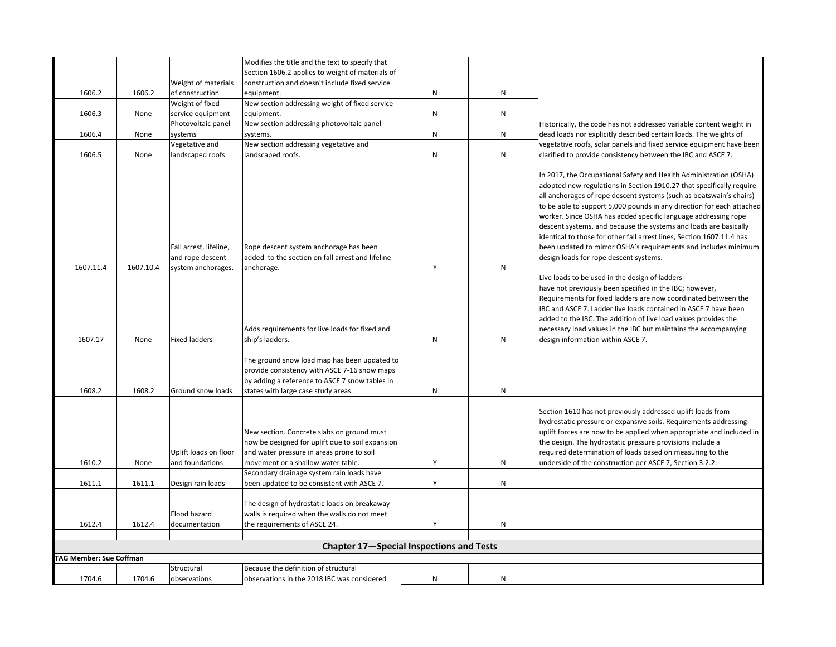|                                |           |                                            | Modifies the title and the text to specify that                                                                                                                                       |   |           |                                                                                                                                                                                                                                                                                                                                                                                                                                                                                                                                                                                                                       |  |  |  |
|--------------------------------|-----------|--------------------------------------------|---------------------------------------------------------------------------------------------------------------------------------------------------------------------------------------|---|-----------|-----------------------------------------------------------------------------------------------------------------------------------------------------------------------------------------------------------------------------------------------------------------------------------------------------------------------------------------------------------------------------------------------------------------------------------------------------------------------------------------------------------------------------------------------------------------------------------------------------------------------|--|--|--|
|                                |           |                                            | Section 1606.2 applies to weight of materials of                                                                                                                                      |   |           |                                                                                                                                                                                                                                                                                                                                                                                                                                                                                                                                                                                                                       |  |  |  |
|                                |           | Weight of materials                        | construction and doesn't include fixed service                                                                                                                                        |   |           |                                                                                                                                                                                                                                                                                                                                                                                                                                                                                                                                                                                                                       |  |  |  |
| 1606.2                         | 1606.2    | of construction                            | equipment.                                                                                                                                                                            | N | N         |                                                                                                                                                                                                                                                                                                                                                                                                                                                                                                                                                                                                                       |  |  |  |
|                                |           | Weight of fixed                            | New section addressing weight of fixed service                                                                                                                                        |   |           |                                                                                                                                                                                                                                                                                                                                                                                                                                                                                                                                                                                                                       |  |  |  |
| 1606.3                         | None      | service equipment                          | equipment.                                                                                                                                                                            | N | ${\sf N}$ |                                                                                                                                                                                                                                                                                                                                                                                                                                                                                                                                                                                                                       |  |  |  |
|                                |           | Photovoltaic panel                         | New section addressing photovoltaic panel                                                                                                                                             |   |           | Historically, the code has not addressed variable content weight in                                                                                                                                                                                                                                                                                                                                                                                                                                                                                                                                                   |  |  |  |
| 1606.4                         | None      | systems                                    | systems.                                                                                                                                                                              | N | ${\sf N}$ | dead loads nor explicitly described certain loads. The weights of                                                                                                                                                                                                                                                                                                                                                                                                                                                                                                                                                     |  |  |  |
|                                |           | Vegetative and                             | New section addressing vegetative and                                                                                                                                                 |   |           | vegetative roofs, solar panels and fixed service equipment have been                                                                                                                                                                                                                                                                                                                                                                                                                                                                                                                                                  |  |  |  |
| 1606.5                         | None      | andscaped roofs                            | landscaped roofs.                                                                                                                                                                     | N | N         | clarified to provide consistency between the IBC and ASCE 7.                                                                                                                                                                                                                                                                                                                                                                                                                                                                                                                                                          |  |  |  |
|                                |           | Fall arrest, lifeline,<br>and rope descent | Rope descent system anchorage has been<br>added to the section on fall arrest and lifeline                                                                                            |   |           | In 2017, the Occupational Safety and Health Administration (OSHA)<br>adopted new regulations in Section 1910.27 that specifically require<br>all anchorages of rope descent systems (such as boatswain's chairs)<br>to be able to support 5,000 pounds in any direction for each attached<br>worker. Since OSHA has added specific language addressing rope<br>descent systems, and because the systems and loads are basically<br>identical to those for other fall arrest lines, Section 1607.11.4 has<br>been updated to mirror OSHA's requirements and includes minimum<br>design loads for rope descent systems. |  |  |  |
| 1607.11.4                      | 1607.10.4 | system anchorages.                         | anchorage.                                                                                                                                                                            | Y | N         |                                                                                                                                                                                                                                                                                                                                                                                                                                                                                                                                                                                                                       |  |  |  |
| 1607.17                        | None      | <b>Fixed ladders</b>                       | Adds requirements for live loads for fixed and<br>ship's ladders.                                                                                                                     | N | N         | Live loads to be used in the design of ladders<br>have not previously been specified in the IBC; however,<br>Requirements for fixed ladders are now coordinated between the<br>IBC and ASCE 7. Ladder live loads contained in ASCE 7 have been<br>added to the IBC. The addition of live load values provides the<br>necessary load values in the IBC but maintains the accompanying<br>design information within ASCE 7.                                                                                                                                                                                             |  |  |  |
|                                |           |                                            |                                                                                                                                                                                       |   |           |                                                                                                                                                                                                                                                                                                                                                                                                                                                                                                                                                                                                                       |  |  |  |
| 1608.2                         | 1608.2    | Ground snow loads                          | The ground snow load map has been updated to<br>provide consistency with ASCE 7-16 snow maps<br>by adding a reference to ASCE 7 snow tables in<br>states with large case study areas. | N | ${\sf N}$ |                                                                                                                                                                                                                                                                                                                                                                                                                                                                                                                                                                                                                       |  |  |  |
|                                |           |                                            |                                                                                                                                                                                       |   |           |                                                                                                                                                                                                                                                                                                                                                                                                                                                                                                                                                                                                                       |  |  |  |
| 1610.2                         | None      | Uplift loads on floor<br>and foundations   | New section. Concrete slabs on ground must<br>now be designed for uplift due to soil expansion<br>and water pressure in areas prone to soil<br>movement or a shallow water table.     | Y | N         | Section 1610 has not previously addressed uplift loads from<br>hydrostatic pressure or expansive soils. Requirements addressing<br>uplift forces are now to be applied when appropriate and included in<br>the design. The hydrostatic pressure provisions include a<br>required determination of loads based on measuring to the<br>underside of the construction per ASCE 7, Section 3.2.2.                                                                                                                                                                                                                         |  |  |  |
| 1611.1                         | 1611.1    | Design rain loads                          | Secondary drainage system rain loads have<br>been updated to be consistent with ASCE 7.                                                                                               | Y | ${\sf N}$ |                                                                                                                                                                                                                                                                                                                                                                                                                                                                                                                                                                                                                       |  |  |  |
|                                |           |                                            |                                                                                                                                                                                       |   |           |                                                                                                                                                                                                                                                                                                                                                                                                                                                                                                                                                                                                                       |  |  |  |
| 1612.4                         | 1612.4    | Flood hazard<br>documentation              | The design of hydrostatic loads on breakaway<br>walls is required when the walls do not meet<br>the requirements of ASCE 24.                                                          | Υ | N         |                                                                                                                                                                                                                                                                                                                                                                                                                                                                                                                                                                                                                       |  |  |  |
|                                |           |                                            |                                                                                                                                                                                       |   |           |                                                                                                                                                                                                                                                                                                                                                                                                                                                                                                                                                                                                                       |  |  |  |
|                                |           |                                            | Chapter 17-Special Inspections and Tests                                                                                                                                              |   |           |                                                                                                                                                                                                                                                                                                                                                                                                                                                                                                                                                                                                                       |  |  |  |
| <b>FAG Member: Sue Coffman</b> |           |                                            |                                                                                                                                                                                       |   |           |                                                                                                                                                                                                                                                                                                                                                                                                                                                                                                                                                                                                                       |  |  |  |
| 1704.6                         | 1704.6    | Structural<br>observations                 | Because the definition of structural<br>observations in the 2018 IBC was considered                                                                                                   | N | N         |                                                                                                                                                                                                                                                                                                                                                                                                                                                                                                                                                                                                                       |  |  |  |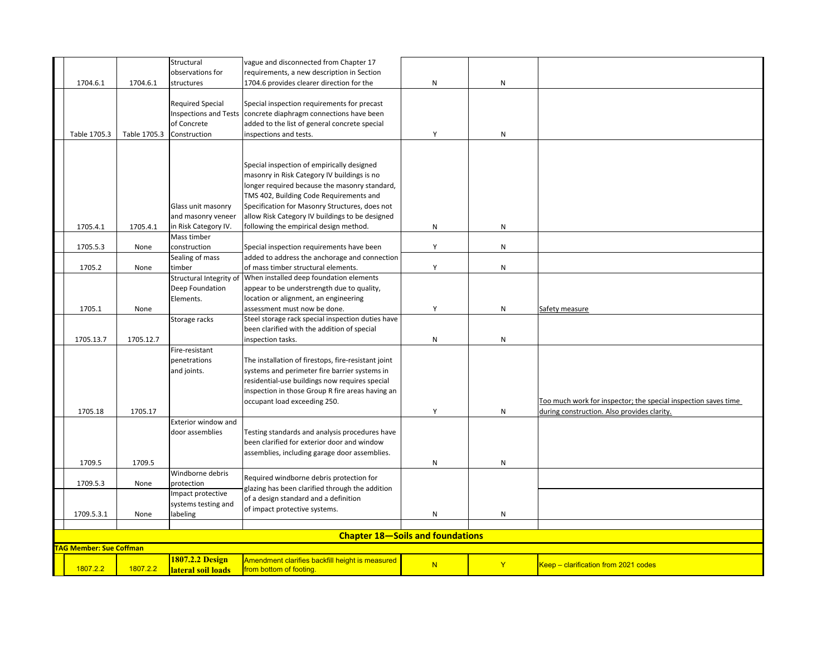|                                |              | Structural<br>observations for         | vague and disconnected from Chapter 17<br>requirements, a new description in Section      |                                         |           |                                                                |
|--------------------------------|--------------|----------------------------------------|-------------------------------------------------------------------------------------------|-----------------------------------------|-----------|----------------------------------------------------------------|
| 1704.6.1                       | 1704.6.1     | structures                             | 1704.6 provides clearer direction for the                                                 | N                                       | N         |                                                                |
|                                |              |                                        |                                                                                           |                                         |           |                                                                |
|                                |              | <b>Required Special</b>                | Special inspection requirements for precast                                               |                                         |           |                                                                |
|                                |              | <b>Inspections and Tests</b>           | concrete diaphragm connections have been                                                  |                                         |           |                                                                |
|                                |              | of Concrete                            | added to the list of general concrete special                                             |                                         |           |                                                                |
| Table 1705.3                   | Table 1705.3 | Construction                           | inspections and tests.                                                                    | Y                                       | N         |                                                                |
|                                |              |                                        |                                                                                           |                                         |           |                                                                |
|                                |              |                                        |                                                                                           |                                         |           |                                                                |
|                                |              |                                        | Special inspection of empirically designed<br>masonry in Risk Category IV buildings is no |                                         |           |                                                                |
|                                |              |                                        | longer required because the masonry standard,                                             |                                         |           |                                                                |
|                                |              |                                        | TMS 402, Building Code Requirements and                                                   |                                         |           |                                                                |
|                                |              | Glass unit masonry                     | Specification for Masonry Structures, does not                                            |                                         |           |                                                                |
|                                |              | and masonry veneer                     | allow Risk Category IV buildings to be designed                                           |                                         |           |                                                                |
| 1705.4.1                       | 1705.4.1     | in Risk Category IV.                   | following the empirical design method.                                                    | N                                       | N         |                                                                |
|                                |              | Mass timber                            |                                                                                           |                                         |           |                                                                |
| 1705.5.3                       | None         | construction                           | Special inspection requirements have been                                                 | Y                                       | ${\sf N}$ |                                                                |
|                                |              | Sealing of mass                        | added to address the anchorage and connection                                             |                                         |           |                                                                |
| 1705.2                         | None         | timber                                 | of mass timber structural elements.                                                       | Y                                       | ${\sf N}$ |                                                                |
|                                |              | Structural Integrity of                | When installed deep foundation elements                                                   |                                         |           |                                                                |
|                                |              | Deep Foundation                        | appear to be understrength due to quality,                                                |                                         |           |                                                                |
| 1705.1                         | None         | Elements.                              | location or alignment, an engineering<br>assessment must now be done.                     | Υ                                       | N         | Safety measure                                                 |
|                                |              | Storage racks                          | Steel storage rack special inspection duties have                                         |                                         |           |                                                                |
|                                |              |                                        | been clarified with the addition of special                                               |                                         |           |                                                                |
| 1705.13.7                      | 1705.12.7    |                                        | inspection tasks.                                                                         | N                                       | N         |                                                                |
|                                |              | Fire-resistant                         |                                                                                           |                                         |           |                                                                |
|                                |              | penetrations                           | The installation of firestops, fire-resistant joint                                       |                                         |           |                                                                |
|                                |              | and joints.                            | systems and perimeter fire barrier systems in                                             |                                         |           |                                                                |
|                                |              |                                        | residential-use buildings now requires special                                            |                                         |           |                                                                |
|                                |              |                                        | inspection in those Group R fire areas having an                                          |                                         |           |                                                                |
|                                |              |                                        | occupant load exceeding 250.                                                              |                                         |           | Too much work for inspector; the special inspection saves time |
| 1705.18                        | 1705.17      |                                        |                                                                                           | Y                                       | ${\sf N}$ | during construction. Also provides clarity.                    |
|                                |              | Exterior window and<br>door assemblies | Testing standards and analysis procedures have                                            |                                         |           |                                                                |
|                                |              |                                        | been clarified for exterior door and window                                               |                                         |           |                                                                |
|                                |              |                                        | assemblies, including garage door assemblies.                                             |                                         |           |                                                                |
| 1709.5                         | 1709.5       |                                        |                                                                                           | N                                       | ${\sf N}$ |                                                                |
|                                |              | Windborne debris                       | Required windborne debris protection for                                                  |                                         |           |                                                                |
| 1709.5.3                       | None         | protection                             | glazing has been clarified through the addition                                           |                                         |           |                                                                |
|                                |              | Impact protective                      | of a design standard and a definition                                                     |                                         |           |                                                                |
|                                |              | systems testing and                    | of impact protective systems.                                                             |                                         |           |                                                                |
| 1709.5.3.1                     | None         | abeling                                |                                                                                           | ${\sf N}$                               | N         |                                                                |
|                                |              |                                        |                                                                                           |                                         |           |                                                                |
|                                |              |                                        |                                                                                           | <b>Chapter 18-Soils and foundations</b> |           |                                                                |
| <b>TAG Member: Sue Coffman</b> |              |                                        |                                                                                           |                                         |           |                                                                |
| 1807.2.2                       | 1807.2.2     | 1807.2.2 Design<br>lateral soil loads  | Amendment clarifies backfill height is measured<br>from bottom of footing.                | N                                       | Y         | Keep - clarification from 2021 codes                           |
|                                |              |                                        |                                                                                           |                                         |           |                                                                |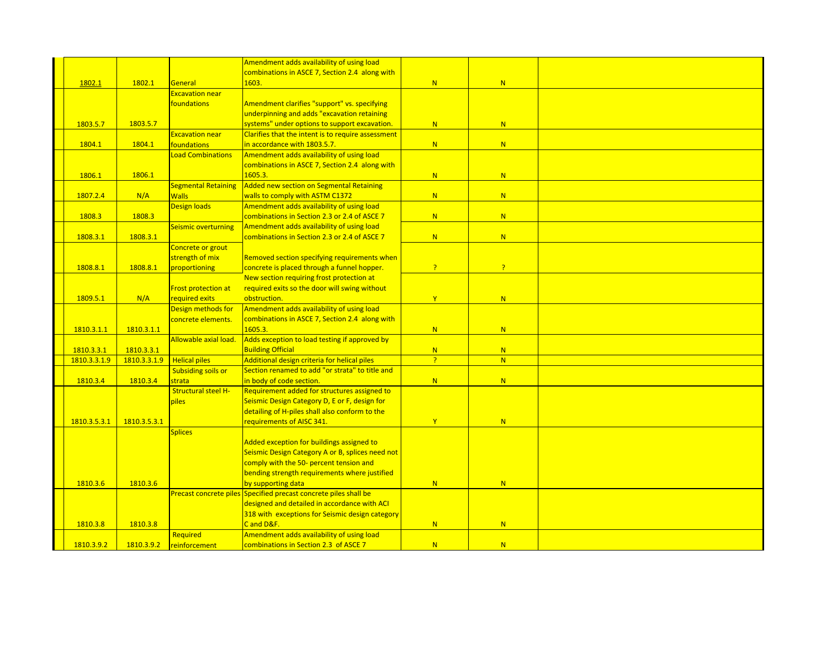|              |              |                            | Amendment adds availability of using load                                                                        |                |                |  |
|--------------|--------------|----------------------------|------------------------------------------------------------------------------------------------------------------|----------------|----------------|--|
|              |              |                            | combinations in ASCE 7, Section 2.4 along with                                                                   |                |                |  |
| 1802.1       | 1802.1       | General                    | 1603.                                                                                                            | N              | N              |  |
|              |              | <b>Excavation near</b>     |                                                                                                                  |                |                |  |
|              |              | foundations                | Amendment clarifies "support" vs. specifying                                                                     |                |                |  |
|              |              |                            | underpinning and adds "excavation retaining                                                                      |                |                |  |
| 1803.5.7     | 1803.5.7     |                            | systems" under options to support excavation.                                                                    | N              | N              |  |
|              |              | <b>Excavation near</b>     | Clarifies that the intent is to require assessment                                                               |                |                |  |
| 1804.1       | 1804.1       | foundations                | in accordance with 1803.5.7.                                                                                     | N              | N              |  |
|              |              | oad Combinations           | Amendment adds availability of using load                                                                        |                |                |  |
|              |              |                            | combinations in ASCE 7, Section 2.4 along with                                                                   |                |                |  |
| 1806.1       | 1806.1       |                            | 1605.3.                                                                                                          | N              | N              |  |
|              |              | <b>Segmental Retaining</b> | Added new section on Segmental Retaining                                                                         |                |                |  |
| 1807.2.4     | N/A          | <b>Walls</b>               | walls to comply with ASTM C1372                                                                                  | N              | N              |  |
|              |              | <b>Design loads</b>        | Amendment adds availability of using load                                                                        |                |                |  |
| 1808.3       | 1808.3       |                            | combinations in Section 2.3 or 2.4 of ASCE 7                                                                     | N              | N              |  |
|              |              | Seismic overturning        | Amendment adds availability of using load                                                                        |                |                |  |
| 1808.3.1     | 1808.3.1     |                            | combinations in Section 2.3 or 2.4 of ASCE 7                                                                     | N              | N              |  |
|              |              | Concrete or grout          |                                                                                                                  |                |                |  |
|              |              | strength of mix            | Removed section specifying requirements when                                                                     |                |                |  |
| 1808.8.1     | 1808.8.1     | proportioning              | concrete is placed through a funnel hopper.                                                                      | $\overline{?}$ | $\overline{?}$ |  |
|              |              |                            | New section requiring frost protection at                                                                        |                |                |  |
|              |              | <b>Frost protection at</b> | required exits so the door will swing without                                                                    |                |                |  |
| 1809.5.1     | N/A          | required exits             | obstruction.                                                                                                     | Y              | N              |  |
|              |              | Design methods for         | Amendment adds availability of using load                                                                        |                |                |  |
|              |              | concrete elements.         | combinations in ASCE 7, Section 2.4 along with                                                                   |                |                |  |
| 1810.3.1.1   | 1810.3.1.1   |                            | 1605.3.                                                                                                          | N              | N              |  |
|              |              | Allowable axial load.      | Adds exception to load testing if approved by                                                                    |                |                |  |
| 1810.3.3.1   | 1810.3.3.1   |                            | <b>Building Official</b>                                                                                         | N              | N              |  |
| 1810.3.3.1.9 | 1810.3.3.1.9 | <b>Helical piles</b>       | Additional design criteria for helical piles                                                                     | $\overline{?}$ | N              |  |
|              |              | <b>Subsiding soils or</b>  | Section renamed to add "or strata" to title and                                                                  |                |                |  |
| 1810.3.4     | 1810.3.4     | strata                     | in body of code section.                                                                                         | N              | N              |  |
|              |              | <b>Structural steel H-</b> | Requirement added for structures assigned to                                                                     |                |                |  |
|              |              | piles                      | Seismic Design Category D, E or F, design for                                                                    |                |                |  |
|              |              |                            | detailing of H-piles shall also conform to the                                                                   |                |                |  |
| 1810.3.5.3.1 | 1810.3.5.3.1 |                            | requirements of AISC 341.                                                                                        | Y              | N              |  |
|              |              | <b>Splices</b>             |                                                                                                                  |                |                |  |
|              |              |                            | Added exception for buildings assigned to                                                                        |                |                |  |
|              |              |                            | Seismic Design Category A or B, splices need not                                                                 |                |                |  |
|              |              |                            | comply with the 50- percent tension and                                                                          |                |                |  |
|              |              |                            | bending strength requirements where justified                                                                    |                |                |  |
| 1810.3.6     | 1810.3.6     |                            | by supporting data                                                                                               | N              | N              |  |
|              |              |                            | Precast concrete piles Specified precast concrete piles shall be<br>designed and detailed in accordance with ACI |                |                |  |
|              |              |                            | 318 with exceptions for Seismic design category                                                                  |                |                |  |
|              |              |                            |                                                                                                                  |                |                |  |
| 1810.3.8     | 1810.3.8     |                            | C and D&F.<br>Amendment adds availability of using load                                                          | N              | N              |  |
| 1810.3.9.2   |              | Required                   |                                                                                                                  | N              | N              |  |
|              | 1810.3.9.2   | reinforcement              | combinations in Section 2.3 of ASCE 7                                                                            |                |                |  |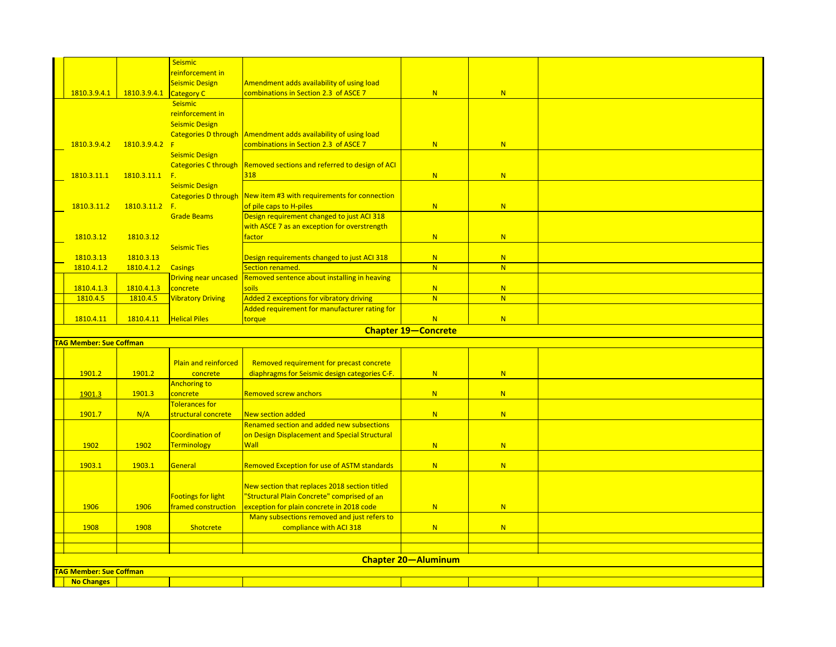|                                                    |                | <b>Seismic</b>             |                                                                      |                            |   |  |
|----------------------------------------------------|----------------|----------------------------|----------------------------------------------------------------------|----------------------------|---|--|
|                                                    |                | reinforcement in           |                                                                      |                            |   |  |
|                                                    |                |                            |                                                                      |                            |   |  |
|                                                    |                | Seismic Design             | Amendment adds availability of using load                            |                            |   |  |
| 1810.3.9.4.1                                       | 1810.3.9.4.1   | <b>Category C</b>          | combinations in Section 2.3 of ASCE 7                                | N                          | N |  |
|                                                    |                | <b>Seismic</b>             |                                                                      |                            |   |  |
|                                                    |                | reinforcement in           |                                                                      |                            |   |  |
|                                                    |                | <b>Seismic Design</b>      |                                                                      |                            |   |  |
|                                                    |                |                            | Categories D through Amendment adds availability of using load       |                            |   |  |
| 1810.3.9.4.2                                       | 1810.3.9.4.2   | F                          | combinations in Section 2.3 of ASCE 7                                | N                          | N |  |
|                                                    |                | <b>Seismic Design</b>      |                                                                      |                            |   |  |
|                                                    |                |                            | Categories C through  Removed sections and referred to design of ACI |                            |   |  |
| 1810.3.11.1                                        | 1810.3.11.1    | $F_{\rm c}$                | 318                                                                  | N                          | N |  |
|                                                    |                | <b>Seismic Design</b>      |                                                                      |                            |   |  |
|                                                    |                |                            | Categories D through   New item #3 with requirements for connection  |                            |   |  |
| 1810.3.11.2                                        | 1810.3.11.2 F. |                            | of pile caps to H-piles                                              | N                          | N |  |
|                                                    |                |                            |                                                                      |                            |   |  |
|                                                    |                | <b>Grade Beams</b>         | Design requirement changed to just ACI 318                           |                            |   |  |
|                                                    |                |                            | with ASCE 7 as an exception for overstrength                         |                            |   |  |
| 1810.3.12                                          | 1810.3.12      |                            | <b>factor</b>                                                        | N                          | N |  |
|                                                    |                | <b>Seismic Ties</b>        |                                                                      |                            |   |  |
| 1810.3.13                                          | 1810.3.13      |                            | Design requirements changed to just ACI 318                          | N                          | N |  |
| 1810.4.1.2                                         | 1810.4.1.2     | <b>Casings</b>             | Section renamed.                                                     | N                          | N |  |
|                                                    |                | Driving near uncased       | Removed sentence about installing in heaving                         |                            |   |  |
| 1810.4.1.3                                         | 1810.4.1.3     | concrete                   | soils                                                                | N                          | N |  |
| 1810.4.5                                           | 1810.4.5       | <b>Vibratory Driving</b>   | Added 2 exceptions for vibratory driving                             | N                          | N |  |
|                                                    |                |                            | Added requirement for manufacturer rating for                        |                            |   |  |
| 1810.4.11                                          | 1810.4.11      | <b>Helical Piles</b>       | torque                                                               | N                          | N |  |
|                                                    |                |                            |                                                                      | <b>Chapter 19-Concrete</b> |   |  |
|                                                    |                |                            |                                                                      |                            |   |  |
| <b>AG Member: Sue Coffman</b>                      |                |                            |                                                                      |                            |   |  |
|                                                    |                |                            |                                                                      |                            |   |  |
|                                                    |                |                            | Removed requirement for precast concrete                             |                            |   |  |
| 1901.2                                             |                | Plain and reinforced       |                                                                      |                            |   |  |
|                                                    | 1901.2         | concrete                   | diaphragms for Seismic design categories C-F.                        | N                          | N |  |
|                                                    |                | Anchoring to               |                                                                      |                            |   |  |
| 1901.3                                             | 1901.3         | concrete                   | Removed screw anchors                                                | N                          | N |  |
|                                                    |                | <b>Tolerances for</b>      |                                                                      |                            |   |  |
|                                                    |                |                            |                                                                      | N                          | N |  |
| 1901.7                                             | N/A            | structural concrete        | <b>New section added</b>                                             |                            |   |  |
|                                                    |                |                            | Renamed section and added new subsections                            |                            |   |  |
|                                                    |                | <b>Coordination of</b>     | on Design Displacement and Special Structural                        |                            |   |  |
| 1902                                               | 1902           | Terminology                | Wall                                                                 | N                          | N |  |
|                                                    |                |                            |                                                                      |                            |   |  |
| 1903.1                                             | 1903.1         | General                    | <b>Removed Exception for use of ASTM standards</b>                   | N                          | N |  |
|                                                    |                |                            |                                                                      |                            |   |  |
|                                                    |                |                            | New section that replaces 2018 section titled                        |                            |   |  |
|                                                    |                | <b>Footings for light</b>  | "Structural Plain Concrete" comprised of an                          |                            |   |  |
| 1906                                               | 1906           | <b>framed construction</b> | exception for plain concrete in 2018 code                            | N                          | N |  |
|                                                    |                |                            | Many subsections removed and just refers to                          |                            |   |  |
| 1908                                               | 1908           | Shotcrete                  | compliance with ACI 318                                              | N                          | N |  |
|                                                    |                |                            |                                                                      |                            |   |  |
|                                                    |                |                            |                                                                      |                            |   |  |
|                                                    |                |                            |                                                                      |                            |   |  |
|                                                    |                |                            |                                                                      | <b>Chapter 20-Aluminum</b> |   |  |
| <b>AG Member: Sue Coffman</b><br><b>No Changes</b> |                |                            |                                                                      |                            |   |  |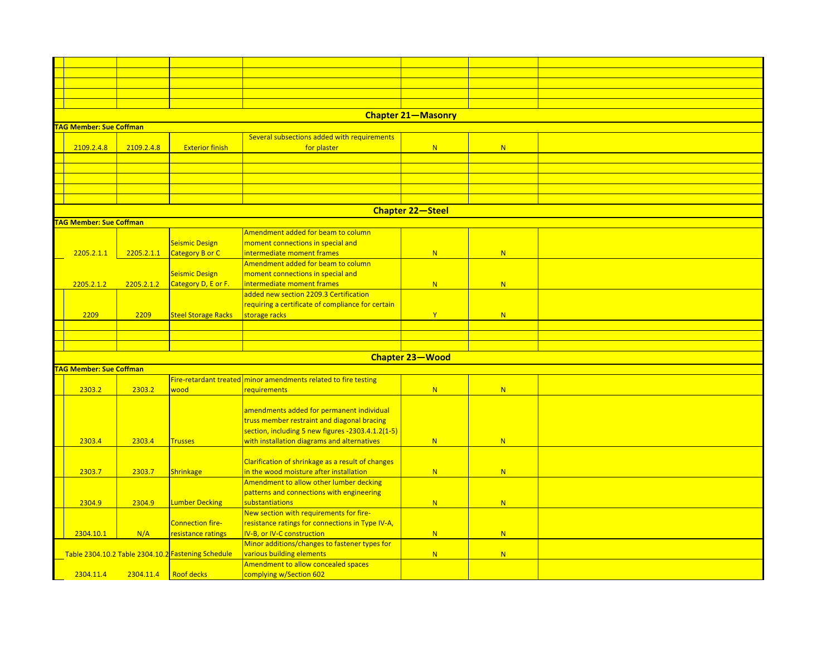| <b>Chapter 21-Masonry</b>      |            |                                                    |                                                                 |                         |   |  |  |  |  |
|--------------------------------|------------|----------------------------------------------------|-----------------------------------------------------------------|-------------------------|---|--|--|--|--|
| <b>FAG Member: Sue Coffman</b> |            |                                                    |                                                                 |                         |   |  |  |  |  |
|                                |            |                                                    | Several subsections added with requirements                     |                         |   |  |  |  |  |
| 2109.2.4.8                     | 2109.2.4.8 | <b>Exterior finish</b>                             | for plaster                                                     | N                       | N |  |  |  |  |
|                                |            |                                                    |                                                                 |                         |   |  |  |  |  |
|                                |            |                                                    |                                                                 |                         |   |  |  |  |  |
|                                |            |                                                    |                                                                 |                         |   |  |  |  |  |
|                                |            |                                                    |                                                                 |                         |   |  |  |  |  |
|                                |            |                                                    |                                                                 |                         |   |  |  |  |  |
|                                |            |                                                    |                                                                 | <b>Chapter 22-Steel</b> |   |  |  |  |  |
| <b>TAG Member: Sue Coffman</b> |            |                                                    |                                                                 |                         |   |  |  |  |  |
|                                |            |                                                    | Amendment added for beam to column                              |                         |   |  |  |  |  |
|                                |            | <b>Seismic Design</b>                              | moment connections in special and                               |                         |   |  |  |  |  |
| 2205.2.1.1                     | 2205.2.1.1 | Category B or C                                    | <b>Intermediate moment frames</b>                               | N                       | N |  |  |  |  |
|                                |            |                                                    | Amendment added for beam to column                              |                         |   |  |  |  |  |
|                                |            | <b>Seismic Design</b>                              | moment connections in special and                               |                         |   |  |  |  |  |
| 2205.2.1.2                     | 2205.2.1.2 | Category D, E or F.                                | <b>Intermediate moment frames</b>                               | N                       | N |  |  |  |  |
|                                |            |                                                    | added new section 2209.3 Certification                          |                         |   |  |  |  |  |
|                                |            |                                                    | requiring a certificate of compliance for certain               |                         |   |  |  |  |  |
| 2209                           | 2209       | <b>Steel Storage Racks</b>                         |                                                                 | $\mathbf{Y}$            | N |  |  |  |  |
|                                |            |                                                    | storage racks                                                   |                         |   |  |  |  |  |
|                                |            |                                                    |                                                                 |                         |   |  |  |  |  |
|                                |            |                                                    |                                                                 |                         |   |  |  |  |  |
|                                |            |                                                    |                                                                 |                         |   |  |  |  |  |
|                                |            |                                                    |                                                                 | Chapter 23-Wood         |   |  |  |  |  |
| <b>TAG Member: Sue Coffman</b> |            |                                                    |                                                                 |                         |   |  |  |  |  |
|                                |            |                                                    | Fire-retardant treated minor amendments related to fire testing |                         |   |  |  |  |  |
| 2303.2                         | 2303.2     | wood                                               | requirements                                                    | N                       | N |  |  |  |  |
|                                |            |                                                    |                                                                 |                         |   |  |  |  |  |
|                                |            |                                                    | amendments added for permanent individual                       |                         |   |  |  |  |  |
|                                |            |                                                    | truss member restraint and diagonal bracing                     |                         |   |  |  |  |  |
|                                |            |                                                    | section, including 5 new figures -2303.4.1.2(1-5)               |                         |   |  |  |  |  |
| 2303.4                         | 2303.4     | <b>Trusses</b>                                     | with installation diagrams and alternatives                     | N                       | N |  |  |  |  |
|                                |            |                                                    |                                                                 |                         |   |  |  |  |  |
|                                |            |                                                    | Clarification of shrinkage as a result of changes               |                         |   |  |  |  |  |
| 2303.7                         | 2303.7     | <b>Shrinkage</b>                                   | in the wood moisture after installation                         | N                       | N |  |  |  |  |
|                                |            |                                                    | Amendment to allow other lumber decking                         |                         |   |  |  |  |  |
|                                |            |                                                    | patterns and connections with engineering                       |                         |   |  |  |  |  |
| 2304.9                         | 2304.9     | <b>Lumber Decking</b>                              | substantiations                                                 | N                       | N |  |  |  |  |
|                                |            |                                                    | New section with requirements for fire-                         |                         |   |  |  |  |  |
|                                |            | <b>Connection fire-</b>                            | resistance ratings for connections in Type IV-A,                |                         |   |  |  |  |  |
| 2304.10.1                      | N/A        | resistance ratings                                 | V-B, or IV-C construction                                       | N                       | N |  |  |  |  |
|                                |            |                                                    | Minor additions/changes to fastener types for                   |                         |   |  |  |  |  |
|                                |            | Table 2304.10.2 Table 2304.10.2 Fastening Schedule | various building elements                                       | N                       | N |  |  |  |  |
|                                |            |                                                    | Amendment to allow concealed spaces                             |                         |   |  |  |  |  |
| 2304.11.4                      | 2304.11.4  | <b>Roof decks</b>                                  | complying w/Section 602                                         |                         |   |  |  |  |  |
|                                |            |                                                    |                                                                 |                         |   |  |  |  |  |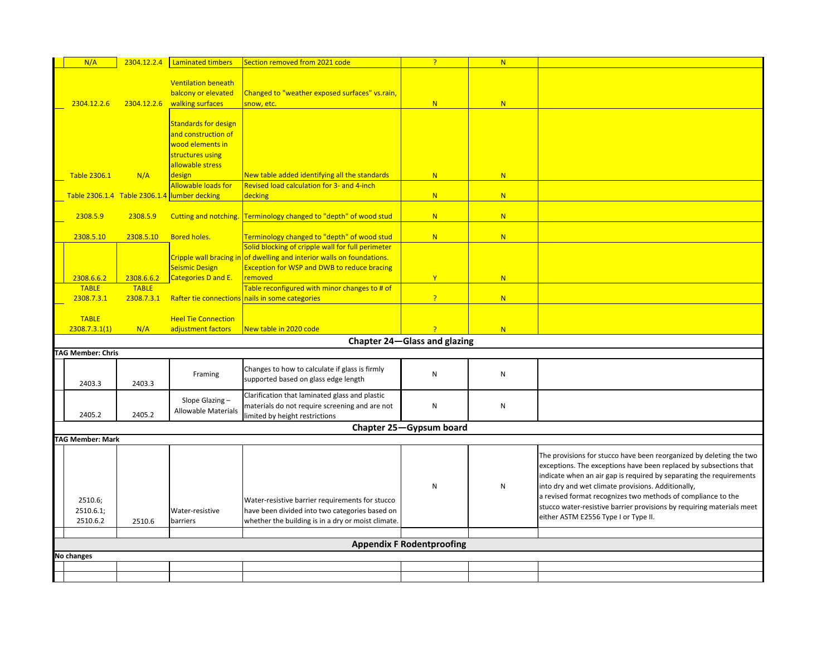| N/A                              | 2304.12.2.4                   | Laminated timbers                                 | Section removed from 2021 code                                                                                                                          | $\overline{?}$                   | N |                                                                                                                                                                                                                                                                                                                                                                                                                                                        |
|----------------------------------|-------------------------------|---------------------------------------------------|---------------------------------------------------------------------------------------------------------------------------------------------------------|----------------------------------|---|--------------------------------------------------------------------------------------------------------------------------------------------------------------------------------------------------------------------------------------------------------------------------------------------------------------------------------------------------------------------------------------------------------------------------------------------------------|
|                                  |                               | <b>Ventilation beneath</b><br>balcony or elevated | Changed to "weather exposed surfaces" vs.rain,                                                                                                          |                                  |   |                                                                                                                                                                                                                                                                                                                                                                                                                                                        |
| 2304.12.2.6                      | 2304.12.2.6                   | walking surfaces                                  | snow, etc.                                                                                                                                              | N                                | N |                                                                                                                                                                                                                                                                                                                                                                                                                                                        |
|                                  |                               | <b>Standards for design</b>                       |                                                                                                                                                         |                                  |   |                                                                                                                                                                                                                                                                                                                                                                                                                                                        |
|                                  |                               | and construction of                               |                                                                                                                                                         |                                  |   |                                                                                                                                                                                                                                                                                                                                                                                                                                                        |
|                                  |                               | wood elements in                                  |                                                                                                                                                         |                                  |   |                                                                                                                                                                                                                                                                                                                                                                                                                                                        |
|                                  |                               | structures using<br>allowable stress              |                                                                                                                                                         |                                  |   |                                                                                                                                                                                                                                                                                                                                                                                                                                                        |
| <b>Table 2306.1</b>              | N/A                           | design                                            | New table added identifying all the standards                                                                                                           | N                                | N |                                                                                                                                                                                                                                                                                                                                                                                                                                                        |
|                                  |                               | Allowable loads for                               | Revised load calculation for 3- and 4-inch                                                                                                              |                                  |   |                                                                                                                                                                                                                                                                                                                                                                                                                                                        |
|                                  | Table 2306.1.4 Table 2306.1.4 | lumber decking                                    | decking                                                                                                                                                 | N                                | N |                                                                                                                                                                                                                                                                                                                                                                                                                                                        |
| 2308.5.9                         | 2308.5.9                      |                                                   | Cutting and notching. Terminology changed to "depth" of wood stud                                                                                       | N                                | N |                                                                                                                                                                                                                                                                                                                                                                                                                                                        |
|                                  |                               |                                                   |                                                                                                                                                         |                                  |   |                                                                                                                                                                                                                                                                                                                                                                                                                                                        |
| 2308.5.10                        | 2308.5.10                     | <b>Bored holes.</b>                               | Terminology changed to "depth" of wood stud                                                                                                             | N                                | N |                                                                                                                                                                                                                                                                                                                                                                                                                                                        |
|                                  |                               |                                                   | Solid blocking of cripple wall for full perimeter                                                                                                       |                                  |   |                                                                                                                                                                                                                                                                                                                                                                                                                                                        |
|                                  |                               |                                                   | Cripple wall bracing in of dwelling and interior walls on foundations.                                                                                  |                                  |   |                                                                                                                                                                                                                                                                                                                                                                                                                                                        |
|                                  | 2308.6.6.2                    | Seismic Design<br>Categories D and E.             | <b>Exception for WSP and DWB to reduce bracing</b><br>removed                                                                                           | Y                                | N |                                                                                                                                                                                                                                                                                                                                                                                                                                                        |
| 2308.6.6.2<br><b>TABLE</b>       | <b>TABLE</b>                  |                                                   | Table reconfigured with minor changes to # of                                                                                                           |                                  |   |                                                                                                                                                                                                                                                                                                                                                                                                                                                        |
| 2308.7.3.1                       | 2308.7.3.1                    |                                                   | Rafter tie connections nails in some categories                                                                                                         | $\overline{?}$                   | N |                                                                                                                                                                                                                                                                                                                                                                                                                                                        |
|                                  |                               |                                                   |                                                                                                                                                         |                                  |   |                                                                                                                                                                                                                                                                                                                                                                                                                                                        |
| <b>TABLE</b>                     |                               | <b>Heel Tie Connection</b>                        |                                                                                                                                                         |                                  |   |                                                                                                                                                                                                                                                                                                                                                                                                                                                        |
| 2308.7.3.1(1)                    | N/A                           | adjustment factors                                | <mark>New table in 2020 code</mark>                                                                                                                     | <sub>2</sub>                     | N |                                                                                                                                                                                                                                                                                                                                                                                                                                                        |
|                                  |                               |                                                   |                                                                                                                                                         | Chapter 24-Glass and glazing     |   |                                                                                                                                                                                                                                                                                                                                                                                                                                                        |
| <b>TAG Member: Chris</b>         |                               |                                                   |                                                                                                                                                         |                                  |   |                                                                                                                                                                                                                                                                                                                                                                                                                                                        |
| 2403.3                           | 2403.3                        | Framing                                           | Changes to how to calculate if glass is firmly<br>supported based on glass edge length                                                                  | ${\sf N}$                        | N |                                                                                                                                                                                                                                                                                                                                                                                                                                                        |
| 2405.2                           | 2405.2                        | Slope Glazing-<br><b>Allowable Materials</b>      | Clarification that laminated glass and plastic<br>materials do not require screening and are not<br>limited by height restrictions                      | ${\sf N}$                        | N |                                                                                                                                                                                                                                                                                                                                                                                                                                                        |
|                                  |                               |                                                   |                                                                                                                                                         | Chapter 25-Gypsum board          |   |                                                                                                                                                                                                                                                                                                                                                                                                                                                        |
| <b>TAG Member: Mark</b>          |                               |                                                   |                                                                                                                                                         |                                  |   |                                                                                                                                                                                                                                                                                                                                                                                                                                                        |
| 2510.6;<br>2510.6.1;<br>2510.6.2 | 2510.6                        | Water-resistive<br>barriers                       | Water-resistive barrier requirements for stucco<br>have been divided into two categories based on<br>whether the building is in a dry or moist climate. | ${\sf N}$                        | N | The provisions for stucco have been reorganized by deleting the two<br>exceptions. The exceptions have been replaced by subsections that<br>indicate when an air gap is required by separating the requirements<br>into dry and wet climate provisions. Additionally,<br>a revised format recognizes two methods of compliance to the<br>stucco water-resistive barrier provisions by requiring materials meet<br>either ASTM E2556 Type I or Type II. |
|                                  |                               |                                                   |                                                                                                                                                         |                                  |   |                                                                                                                                                                                                                                                                                                                                                                                                                                                        |
|                                  |                               |                                                   |                                                                                                                                                         | <b>Appendix F Rodentproofing</b> |   |                                                                                                                                                                                                                                                                                                                                                                                                                                                        |
| <b>No changes</b>                |                               |                                                   |                                                                                                                                                         |                                  |   |                                                                                                                                                                                                                                                                                                                                                                                                                                                        |
|                                  |                               |                                                   |                                                                                                                                                         |                                  |   |                                                                                                                                                                                                                                                                                                                                                                                                                                                        |
|                                  |                               |                                                   |                                                                                                                                                         |                                  |   |                                                                                                                                                                                                                                                                                                                                                                                                                                                        |